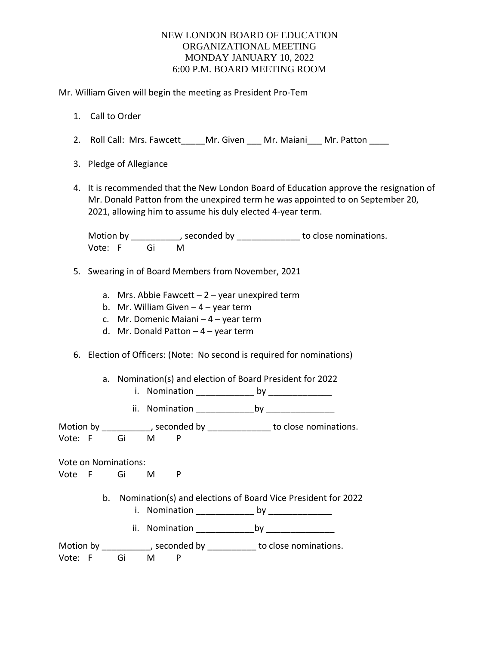Mr. William Given will begin the meeting as President Pro-Tem

- 1. Call to Order
- 2. Roll Call: Mrs. Fawcett Mr. Given Mr. Maiani Mr. Patton
- 3. Pledge of Allegiance
- 4. It is recommended that the New London Board of Education approve the resignation of Mr. Donald Patton from the unexpired term he was appointed to on September 20, 2021, allowing him to assume his duly elected 4-year term.

Motion by \_\_\_\_\_\_\_\_\_\_, seconded by \_\_\_\_\_\_\_\_\_\_\_\_\_\_ to close nominations. Vote: F Gi M

- 5. Swearing in of Board Members from November, 2021
	- a. Mrs. Abbie Fawcett  $-2$  year unexpired term
	- b. Mr. William Given  $-4$  year term
	- c. Mr. Domenic Maiani 4 year term
	- d. Mr. Donald Patton 4 year term
- 6. Election of Officers: (Note: No second is required for nominations)
	- a. Nomination(s) and election of Board President for 2022
		- i. Nomination \_\_\_\_\_\_\_\_\_\_\_\_ by \_\_\_\_\_\_\_\_\_\_\_\_\_
		- ii. Nomination \_\_\_\_\_\_\_\_\_\_\_\_by \_\_\_\_\_\_\_\_\_\_\_\_\_\_

Motion by \_\_\_\_\_\_\_\_\_\_\_, seconded by \_\_\_\_\_\_\_\_\_\_\_\_\_\_\_ to close nominations. Vote: F Gi M P

Vote on Nominations:

Vote F Gi M P

- b. Nomination(s) and elections of Board Vice President for 2022
	- i. Nomination \_\_\_\_\_\_\_\_\_\_\_\_\_\_\_ by \_\_\_\_\_\_\_\_\_\_\_\_\_\_\_\_
	- ii. Nomination \_\_\_\_\_\_\_\_\_\_\_\_by \_\_\_\_\_\_\_\_\_\_\_\_\_\_

| Motion by |  | , seconded by | to close nominations. |
|-----------|--|---------------|-----------------------|
| Vote: F   |  |               |                       |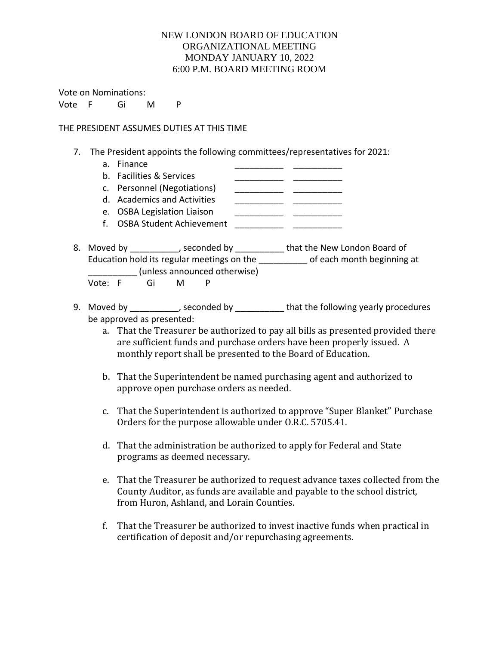Vote on Nominations:

Vote F Gi M P

#### THE PRESIDENT ASSUMES DUTIES AT THIS TIME

- 7. The President appoints the following committees/representatives for 2021:
	- a. Finance
	- b. Facilities & Services \_\_\_\_\_\_\_\_\_\_\_\_\_\_ \_\_\_\_\_\_\_\_\_\_\_\_
	- c. Personnel (Negotiations) \_\_\_\_\_\_\_\_\_\_\_\_ \_\_\_\_\_\_\_\_\_\_\_
	- d. Academics and Activities \_\_\_\_\_\_\_\_\_\_\_\_ \_\_\_\_\_\_\_\_
	- e. OSBA Legislation Liaison \_\_\_\_\_\_\_\_\_\_\_\_ \_\_\_\_\_\_\_
	- f. OSBA Student Achievement \_\_\_\_\_\_\_\_\_\_\_\_\_
- 8. Moved by \_\_\_\_\_\_\_\_\_, seconded by \_\_\_\_\_\_\_\_\_\_ that the New London Board of Education hold its regular meetings on the each month beginning at \_\_\_\_\_\_\_\_\_\_ (unless announced otherwise)

Vote: F Gi M P

- 9. Moved by \_\_\_\_\_\_\_\_\_, seconded by \_\_\_\_\_\_\_\_\_\_ that the following yearly procedures be approved as presented:
	- a. That the Treasurer be authorized to pay all bills as presented provided there are sufficient funds and purchase orders have been properly issued. A monthly report shall be presented to the Board of Education.
	- b. That the Superintendent be named purchasing agent and authorized to approve open purchase orders as needed.
	- c. That the Superintendent is authorized to approve "Super Blanket" Purchase Orders for the purpose allowable under O.R.C. 5705.41.
	- d. That the administration be authorized to apply for Federal and State programs as deemed necessary.
	- e. That the Treasurer be authorized to request advance taxes collected from the County Auditor, as funds are available and payable to the school district, from Huron, Ashland, and Lorain Counties.
	- f. That the Treasurer be authorized to invest inactive funds when practical in certification of deposit and/or repurchasing agreements.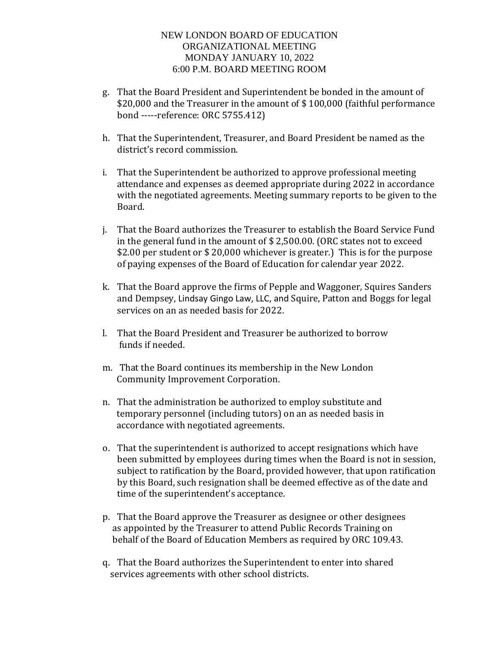- g. That the Board President and Superintendent be bonded in the amount of \$20,000 and the Treasurer in the amount of \$100,000 (faithful performance bond -----reference: ORC 5755.412)
- h. That the Superintendent, Treasurer, and Board President be named as the district's record commission.
- i. That the Superintendent be authorized to approve professional meeting attendance and expenses as deemed appropriate during 2022 in accordance with the negotiated agreements. Meeting summary reports to be given to the Board.
- j. That the Board authorizes the Treasurer to establish the Board Service Fund in the general fund in the amount of \$ 2,500.00. (ORC states not to exceed \$2.00 per student or \$ 20,000 whichever is greater.) This is for the purpose of paying expenses of the Board of Education for calendar year 2022.
- k. That the Board approve the firms of Pepple and Waggoner, Squires Sanders and Dempsey, Lindsay Gingo Law, LLC, and Squire, Patton and Boggs for legal services on an as needed basis for 2022.
- l. That the Board President and Treasurer be authorized to borrow funds if needed.
- m. That the Board continues its membership in the New London Community Improvement Corporation.
- n. That the administration be authorized to employ substitute and temporary personnel (including tutors) on an as needed basis in accordance with negotiated agreements.
- o. That the superintendent is authorized to accept resignations which have been submitted by employees during times when the Board is not in session, subject to ratification by the Board, provided however, that upon ratification by this Board, such resignation shall be deemed effective as of the date and time of the superintendent's acceptance.
- p. That the Board approve the Treasurer as designee or other designees as appointed by the Treasurer to attend Public Records Training on behalf of the Board of Education Members as required by ORC 109.43.
- q. That the Board authorizes the Superintendent to enter into shared services agreements with other school districts.